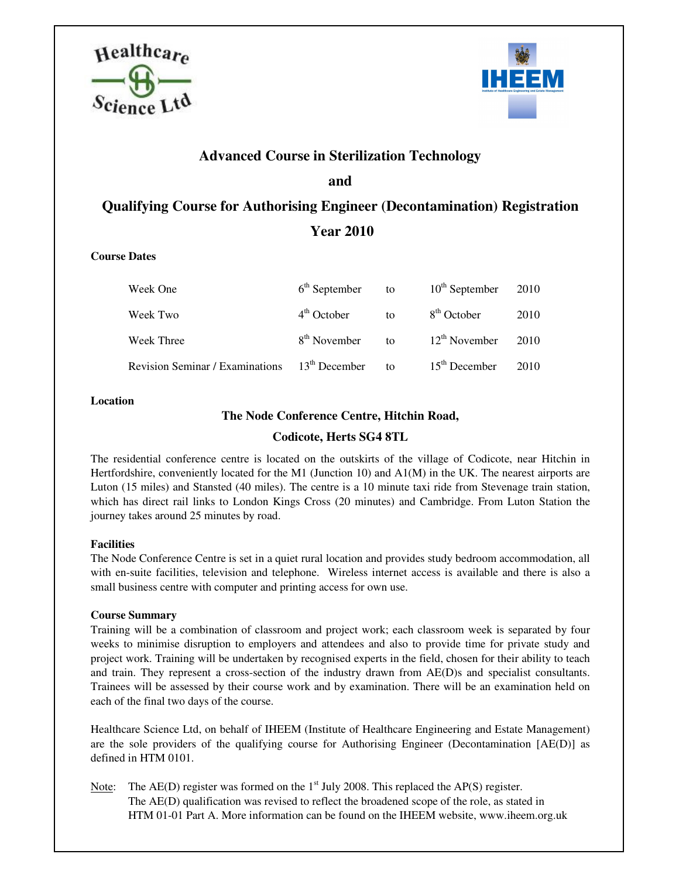



# **Advanced Course in Sterilization Technology and Qualifying Course for Authorising Engineer (Decontamination) Registration**

# **Year 2010**

### **Course Dates**

| Week One                                        | $6th$ September          | to                  | $10^{th}$ September     | 2010 |
|-------------------------------------------------|--------------------------|---------------------|-------------------------|------|
| Week Two                                        | $4th$ October            | to                  | 8 <sup>th</sup> October | 2010 |
| <b>Week Three</b>                               | 8 <sup>th</sup> November | to                  | $12^{th}$ November      | 2010 |
| Revision Seminar / Examinations $13th$ December |                          | $\mathsf{f} \Omega$ | $15th$ December         | 2010 |

#### **Location**

## **The Node Conference Centre, Hitchin Road,**

# **Codicote, Herts SG4 8TL**

The residential conference centre is located on the outskirts of the village of Codicote, near Hitchin in Hertfordshire, conveniently located for the M1 (Junction 10) and A1(M) in the UK. The nearest airports are Luton (15 miles) and Stansted (40 miles). The centre is a 10 minute taxi ride from Stevenage train station, which has direct rail links to London Kings Cross (20 minutes) and Cambridge. From Luton Station the journey takes around 25 minutes by road.

### **Facilities**

The Node Conference Centre is set in a quiet rural location and provides study bedroom accommodation, all with en-suite facilities, television and telephone. Wireless internet access is available and there is also a small business centre with computer and printing access for own use.

### **Course Summary**

Training will be a combination of classroom and project work; each classroom week is separated by four weeks to minimise disruption to employers and attendees and also to provide time for private study and project work. Training will be undertaken by recognised experts in the field, chosen for their ability to teach and train. They represent a cross-section of the industry drawn from AE(D)s and specialist consultants. Trainees will be assessed by their course work and by examination. There will be an examination held on each of the final two days of the course.

Healthcare Science Ltd, on behalf of IHEEM (Institute of Healthcare Engineering and Estate Management) are the sole providers of the qualifying course for Authorising Engineer (Decontamination [AE(D)] as defined in HTM 0101.

Note: The  $AE(D)$  register was formed on the  $1<sup>st</sup>$  July 2008. This replaced the  $AP(S)$  register. The AE(D) qualification was revised to reflect the broadened scope of the role, as stated in HTM 01-01 Part A. More information can be found on the IHEEM website, www.iheem.org.uk